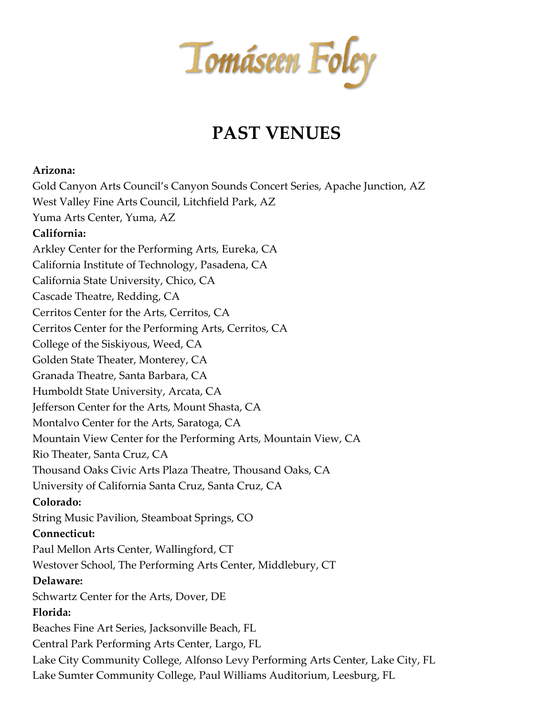Tomáseen Foley

## **PAST VENUES**

## **Arizona:**

Gold Canyon Arts Council's Canyon Sounds Concert Series, Apache Junction, AZ West Valley Fine Arts Council, Litchfield Park, AZ Yuma Arts Center, Yuma, AZ **California:** Arkley Center for the Performing Arts, Eureka, CA California Institute of Technology, Pasadena, CA California State University, Chico, CA Cascade Theatre, Redding, CA Cerritos Center for the Arts, Cerritos, CA Cerritos Center for the Performing Arts, Cerritos, CA College of the Siskiyous, Weed, CA Golden State Theater, Monterey, CA Granada Theatre, Santa Barbara, CA Humboldt State University, Arcata, CA Jefferson Center for the Arts, Mount Shasta, CA Montalvo Center for the Arts, Saratoga, CA Mountain View Center for the Performing Arts, Mountain View, CA Rio Theater, Santa Cruz, CA Thousand Oaks Civic Arts Plaza Theatre, Thousand Oaks, CA University of California Santa Cruz, Santa Cruz, CA **Colorado:** String Music Pavilion, Steamboat Springs, CO **Connecticut:** Paul Mellon Arts Center, Wallingford, CT Westover School, The Performing Arts Center, Middlebury, CT **Delaware:** Schwartz Center for the Arts, Dover, DE **Florida:** Beaches Fine Art Series, Jacksonville Beach, FL Central Park Performing Arts Center, Largo, FL Lake City Community College, Alfonso Levy Performing Arts Center, Lake City, FL Lake Sumter Community College, Paul Williams Auditorium, Leesburg, FL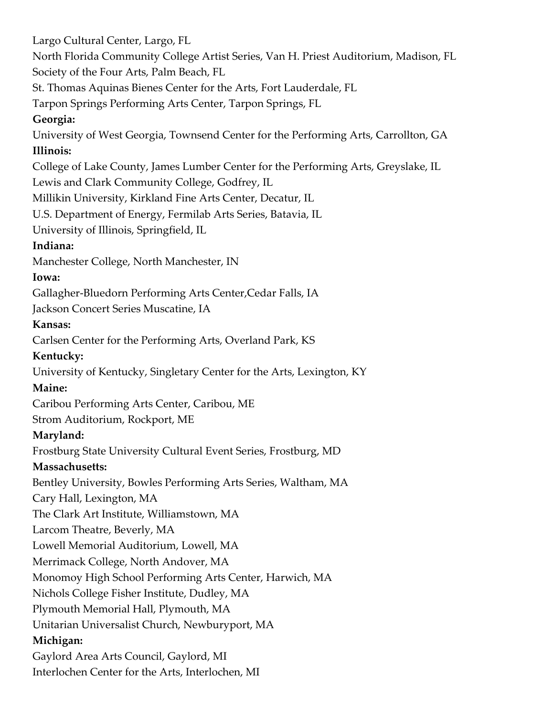Largo Cultural Center, Largo, FL North Florida Community College Artist Series, Van H. Priest Auditorium, Madison, FL Society of the Four Arts, Palm Beach, FL St. Thomas Aquinas Bienes Center for the Arts, Fort Lauderdale, FL Tarpon Springs Performing Arts Center, Tarpon Springs, FL **Georgia:** University of West Georgia, Townsend Center for the Performing Arts, Carrollton, GA **Illinois:** College of Lake County, James Lumber Center for the Performing Arts, Greyslake, IL Lewis and Clark Community College, Godfrey, IL Millikin University, Kirkland Fine Arts Center, Decatur, IL U.S. Department of Energy, Fermilab Arts Series, Batavia, IL University of Illinois, Springfield, IL **Indiana:** Manchester College, North Manchester, IN **Iowa:** Gallagher-Bluedorn Performing Arts Center,Cedar Falls, IA Jackson Concert Series Muscatine, IA **Kansas:** Carlsen Center for the Performing Arts, Overland Park, KS **Kentucky:** University of Kentucky, Singletary Center for the Arts, Lexington, KY **Maine:** Caribou Performing Arts Center, Caribou, ME Strom Auditorium, Rockport, ME **Maryland:** Frostburg State University Cultural Event Series, Frostburg, MD **Massachusetts:** Bentley University, Bowles Performing Arts Series, Waltham, MA Cary Hall, Lexington, MA The Clark Art Institute, Williamstown, MA Larcom Theatre, Beverly, MA Lowell Memorial Auditorium, Lowell, MA Merrimack College, North Andover, MA Monomoy High School Performing Arts Center, Harwich, MA Nichols College Fisher Institute, Dudley, MA Plymouth Memorial Hall, Plymouth, MA Unitarian Universalist Church, Newburyport, MA **Michigan:** Gaylord Area Arts Council, Gaylord, MI Interlochen Center for the Arts, Interlochen, MI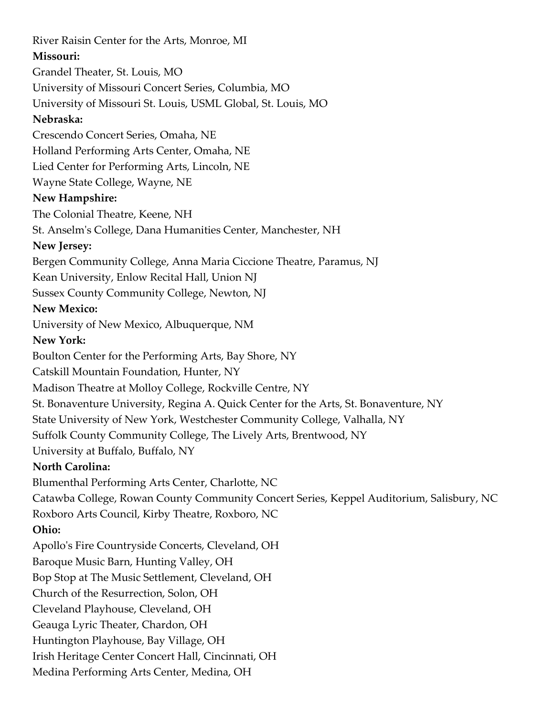River Raisin Center for the Arts, Monroe, MI **Missouri:** Grandel Theater, St. Louis, MO University of Missouri Concert Series, Columbia, MO University of Missouri St. Louis, USML Global, St. Louis, MO **Nebraska:** Crescendo Concert Series, Omaha, NE Holland Performing Arts Center, Omaha, NE Lied Center for Performing Arts, Lincoln, NE Wayne State College, Wayne, NE **New Hampshire:** The Colonial Theatre, Keene, NH St. Anselm's College, Dana Humanities Center, Manchester, NH **New Jersey:** Bergen Community College, Anna Maria Ciccione Theatre, Paramus, NJ Kean University, Enlow Recital Hall, Union NJ Sussex County Community College, Newton, NJ **New Mexico:** University of New Mexico, Albuquerque, NM **New York:** Boulton Center for the Performing Arts, Bay Shore, NY Catskill Mountain Foundation, Hunter, NY Madison Theatre at Molloy College, Rockville Centre, NY St. Bonaventure University, Regina A. Quick Center for the Arts, St. Bonaventure, NY State University of New York, Westchester Community College, Valhalla, NY Suffolk County Community College, The Lively Arts, Brentwood, NY University at Buffalo, Buffalo, NY **North Carolina:** Blumenthal Performing Arts Center, Charlotte, NC Catawba College, Rowan County Community Concert Series, Keppel Auditorium, Salisbury, NC Roxboro Arts Council, Kirby Theatre, Roxboro, NC **Ohio:** Apollo's Fire Countryside Concerts, Cleveland, OH Baroque Music Barn, Hunting Valley, OH Bop Stop at The Music Settlement, Cleveland, OH Church of the Resurrection, Solon, OH Cleveland Playhouse, Cleveland, OH Geauga Lyric Theater, Chardon, OH Huntington Playhouse, Bay Village, OH Irish Heritage Center Concert Hall, Cincinnati, OH Medina Performing Arts Center, Medina, OH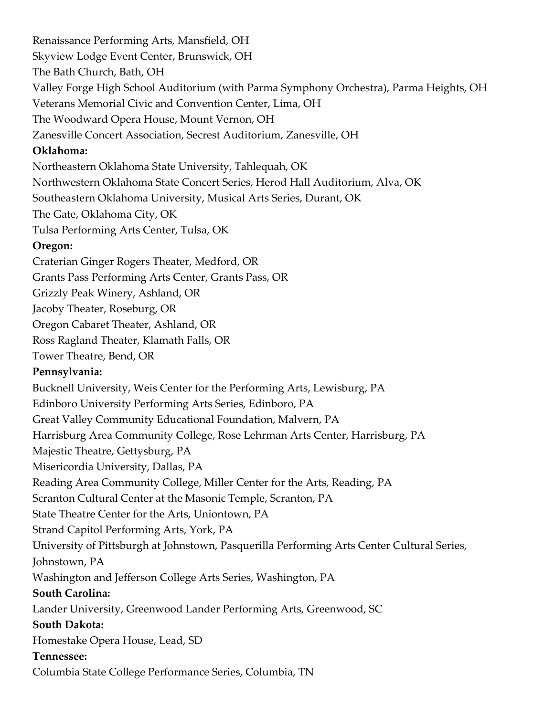Renaissance Performing Arts, Mansfield, OH Skyview Lodge Event Center, Brunswick, OH The Bath Church, Bath, OH Valley Forge High School Auditorium (with Parma Symphony Orchestra), Parma Heights, OH Veterans Memorial Civic and Convention Center, Lima, OH The Woodward Opera House, Mount Vernon, OH Zanesville Concert Association, Secrest Auditorium, Zanesville, OH **Oklahoma:** Northeastern Oklahoma State University, Tahlequah, OK Northwestern Oklahoma State Concert Series, Herod Hall Auditorium, Alva, OK Southeastern Oklahoma University, Musical Arts Series, Durant, OK The Gate, Oklahoma City, OK Tulsa Performing Arts Center, Tulsa, OK **Oregon:** Craterian Ginger Rogers Theater, Medford, OR Grants Pass Performing Arts Center, Grants Pass, OR Grizzly Peak Winery, Ashland, OR Jacoby Theater, Roseburg, OR Oregon Cabaret Theater, Ashland, OR Ross Ragland Theater, Klamath Falls, OR Tower Theatre, Bend, OR **Pennsylvania:** Bucknell University, Weis Center for the Performing Arts, Lewisburg, PA Edinboro University Performing Arts Series, Edinboro, PA Great Valley Community Educational Foundation, Malvern, PA Harrisburg Area Community College, Rose Lehrman Arts Center, Harrisburg, PA Majestic Theatre, Gettysburg, PA Misericordia University, Dallas, PA Reading Area Community College, Miller Center for the Arts, Reading, PA Scranton Cultural Center at the Masonic Temple, Scranton, PA State Theatre Center for the Arts, Uniontown, PA Strand Capitol Performing Arts, York, PA University of Pittsburgh at Johnstown, Pasquerilla Performing Arts Center Cultural Series, Johnstown, PA Washington and Jefferson College Arts Series, Washington, PA **South Carolina:** Lander University, Greenwood Lander Performing Arts, Greenwood, SC **South Dakota:** Homestake Opera House, Lead, SD **Tennessee:** Columbia State College Performance Series, Columbia, TN